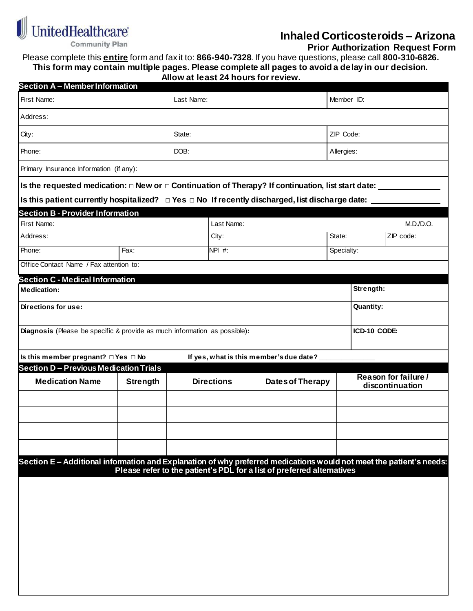

**Inhaled Corticosteroids – Arizona**

 **Prior Authorization Request Form**

Please complete this **entire** form and fax it to: **866-940-7328**. If you have questions, please call **800-310-6826. This form may contain multiple pages. Please complete all pages to avoid a delay in our decision.**

|  |  |  | Allow at least 24 hours for review. |  |
|--|--|--|-------------------------------------|--|
|  |  |  |                                     |  |

| <b>Section A - Member Information</b>                                                                             |                                                                  |                  |            |                                                                        |        |            |                      |  |  |  |  |  |
|-------------------------------------------------------------------------------------------------------------------|------------------------------------------------------------------|------------------|------------|------------------------------------------------------------------------|--------|------------|----------------------|--|--|--|--|--|
| First Name:                                                                                                       |                                                                  | Last Name:       |            |                                                                        |        | Member ID: |                      |  |  |  |  |  |
| Address:                                                                                                          |                                                                  |                  |            |                                                                        |        |            |                      |  |  |  |  |  |
| City:                                                                                                             |                                                                  | State:           |            |                                                                        |        | ZIP Code:  |                      |  |  |  |  |  |
| Phone:                                                                                                            |                                                                  | DOB:             |            |                                                                        |        | Allergies: |                      |  |  |  |  |  |
| Primary Insurance Information (if any):                                                                           |                                                                  |                  |            |                                                                        |        |            |                      |  |  |  |  |  |
| Is the requested medication: $\Box$ New or $\Box$ Continuation of Therapy? If continuation, list start date: _    |                                                                  |                  |            |                                                                        |        |            |                      |  |  |  |  |  |
| Is this patient currently hospitalized? $\Box$ Yes $\Box$ No If recently discharged, list discharge date:         |                                                                  |                  |            |                                                                        |        |            |                      |  |  |  |  |  |
| <b>Section B - Provider Information</b>                                                                           |                                                                  |                  |            |                                                                        |        |            |                      |  |  |  |  |  |
| First Name:                                                                                                       |                                                                  |                  | Last Name: |                                                                        |        |            | M.D./D.O.            |  |  |  |  |  |
| Address:                                                                                                          |                                                                  | City:            |            |                                                                        | State: | ZIP code:  |                      |  |  |  |  |  |
| Phone:                                                                                                            | $\overline{F}ax$ :                                               | <b>NPI #:</b>    |            |                                                                        |        | Specialty: |                      |  |  |  |  |  |
| Office Contact Name / Fax attention to:                                                                           |                                                                  |                  |            |                                                                        |        |            |                      |  |  |  |  |  |
| <b>Section C - Medical Information</b>                                                                            |                                                                  |                  |            |                                                                        |        |            |                      |  |  |  |  |  |
| <b>Medication:</b>                                                                                                |                                                                  | Strength:        |            |                                                                        |        |            |                      |  |  |  |  |  |
| Directions for use:                                                                                               |                                                                  | <b>Quantity:</b> |            |                                                                        |        |            |                      |  |  |  |  |  |
|                                                                                                                   |                                                                  |                  |            |                                                                        |        |            |                      |  |  |  |  |  |
| ICD-10 CODE:<br>Diagnosis (Please be specific & provide as much information as possible):                         |                                                                  |                  |            |                                                                        |        |            |                      |  |  |  |  |  |
|                                                                                                                   |                                                                  |                  |            |                                                                        |        |            |                      |  |  |  |  |  |
| Is this member pregnant? □ Yes □ No                                                                               |                                                                  |                  |            | If yes, what is this member's due date?                                |        |            |                      |  |  |  |  |  |
| <b>Medication Name</b>                                                                                            | <b>Section D - Previous Medication Trials</b><br><b>Strength</b> |                  |            | <b>Directions</b><br><b>Dates of Therapy</b>                           |        |            | Reason for failure / |  |  |  |  |  |
|                                                                                                                   |                                                                  |                  |            |                                                                        |        |            | discontinuation      |  |  |  |  |  |
|                                                                                                                   |                                                                  |                  |            |                                                                        |        |            |                      |  |  |  |  |  |
|                                                                                                                   |                                                                  |                  |            |                                                                        |        |            |                      |  |  |  |  |  |
|                                                                                                                   |                                                                  |                  |            |                                                                        |        |            |                      |  |  |  |  |  |
|                                                                                                                   |                                                                  |                  |            |                                                                        |        |            |                      |  |  |  |  |  |
|                                                                                                                   |                                                                  |                  |            |                                                                        |        |            |                      |  |  |  |  |  |
| Section E-Additional information and Explanation of why preferred medications would not meet the patient's needs: |                                                                  |                  |            |                                                                        |        |            |                      |  |  |  |  |  |
|                                                                                                                   |                                                                  |                  |            | Please refer to the patient's PDL for a list of preferred alternatives |        |            |                      |  |  |  |  |  |
|                                                                                                                   |                                                                  |                  |            |                                                                        |        |            |                      |  |  |  |  |  |
|                                                                                                                   |                                                                  |                  |            |                                                                        |        |            |                      |  |  |  |  |  |
|                                                                                                                   |                                                                  |                  |            |                                                                        |        |            |                      |  |  |  |  |  |
|                                                                                                                   |                                                                  |                  |            |                                                                        |        |            |                      |  |  |  |  |  |
|                                                                                                                   |                                                                  |                  |            |                                                                        |        |            |                      |  |  |  |  |  |
|                                                                                                                   |                                                                  |                  |            |                                                                        |        |            |                      |  |  |  |  |  |
|                                                                                                                   |                                                                  |                  |            |                                                                        |        |            |                      |  |  |  |  |  |
|                                                                                                                   |                                                                  |                  |            |                                                                        |        |            |                      |  |  |  |  |  |
|                                                                                                                   |                                                                  |                  |            |                                                                        |        |            |                      |  |  |  |  |  |